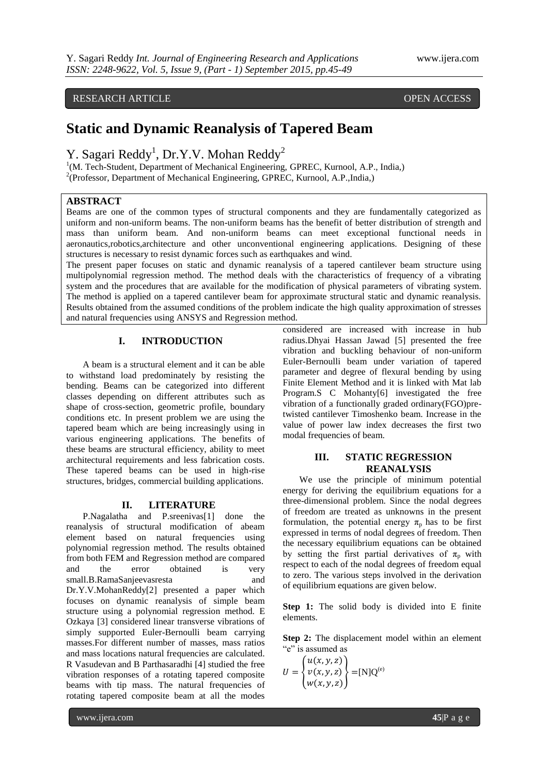# RESEARCH ARTICLE **CONSERVERS** OPEN ACCESS

# **Static and Dynamic Reanalysis of Tapered Beam**

# Y. Sagari Reddy<sup>1</sup>, Dr.Y.V. Mohan Reddy<sup>2</sup>

<sup>1</sup>(M. Tech-Student, Department of Mechanical Engineering, GPREC, Kurnool, A.P., India,) <sup>2</sup>(Professor, Department of Mechanical Engineering, GPREC, Kurnool, A.P., India,)

## **ABSTRACT**

Beams are one of the common types of structural components and they are fundamentally categorized as uniform and non-uniform beams. The non-uniform beams has the benefit of better distribution of strength and mass than uniform beam. And non-uniform beams can meet exceptional functional needs in aeronautics,robotics,architecture and other unconventional engineering applications. Designing of these structures is necessary to resist dynamic forces such as earthquakes and wind.

The present paper focuses on static and dynamic reanalysis of a tapered cantilever beam structure using multipolynomial regression method. The method deals with the characteristics of frequency of a vibrating system and the procedures that are available for the modification of physical parameters of vibrating system. The method is applied on a tapered cantilever beam for approximate structural static and dynamic reanalysis. Results obtained from the assumed conditions of the problem indicate the high quality approximation of stresses and natural frequencies using ANSYS and Regression method.

# **I. INTRODUCTION**

A beam is a structural element and it can be able to withstand load predominately by resisting the bending. Beams can be categorized into different classes depending on different attributes such as shape of cross-section, geometric profile, boundary conditions etc. In present problem we are using the tapered beam which are being increasingly using in various engineering applications. The benefits of these beams are structural efficiency, ability to meet architectural requirements and less fabrication costs. These tapered beams can be used in high-rise structures, bridges, commercial building applications.

#### **II. LITERATURE**

P.Nagalatha and P.sreenivas[1] done the reanalysis of structural modification of abeam element based on natural frequencies using polynomial regression method. The results obtained from both FEM and Regression method are compared and the error obtained is very small.B.RamaSanjeevasresta and Dr.Y.V.MohanReddy[2] presented a paper which focuses on dynamic reanalysis of simple beam structure using a polynomial regression method. E Ozkaya [3] considered linear transverse vibrations of simply supported Euler-Bernoulli beam carrying masses.For different number of masses, mass ratios and mass locations natural frequencies are calculated. R Vasudevan and B Parthasaradhi [4] studied the free vibration responses of a rotating tapered composite beams with tip mass. The natural frequencies of rotating tapered composite beam at all the modes

considered are increased with increase in hub radius.Dhyai Hassan Jawad [5] presented the free vibration and buckling behaviour of non-uniform Euler-Bernoulli beam under variation of tapered parameter and degree of flexural bending by using Finite Element Method and it is linked with Mat lab Program.S C Mohanty[6] investigated the free vibration of a functionally graded ordinary(FGO)pretwisted cantilever Timoshenko beam. Increase in the value of power law index decreases the first two modal frequencies of beam.

# **III. STATIC REGRESSION REANALYSIS**

We use the principle of minimum potential energy for deriving the equilibrium equations for a three-dimensional problem. Since the nodal degrees of freedom are treated as unknowns in the present formulation, the potential energy  $\pi_p$  has to be first expressed in terms of nodal degrees of freedom. Then the necessary equilibrium equations can be obtained by setting the first partial derivatives of  $\pi_p$  with respect to each of the nodal degrees of freedom equal to zero. The various steps involved in the derivation of equilibrium equations are given below.

**Step 1:** The solid body is divided into E finite elements.

**Step 2:** The displacement model within an element "e" is assumed as

$$
U = \begin{Bmatrix} u(x, y, z) \\ v(x, y, z) \\ w(x, y, z) \end{Bmatrix} = [N]Q(e)
$$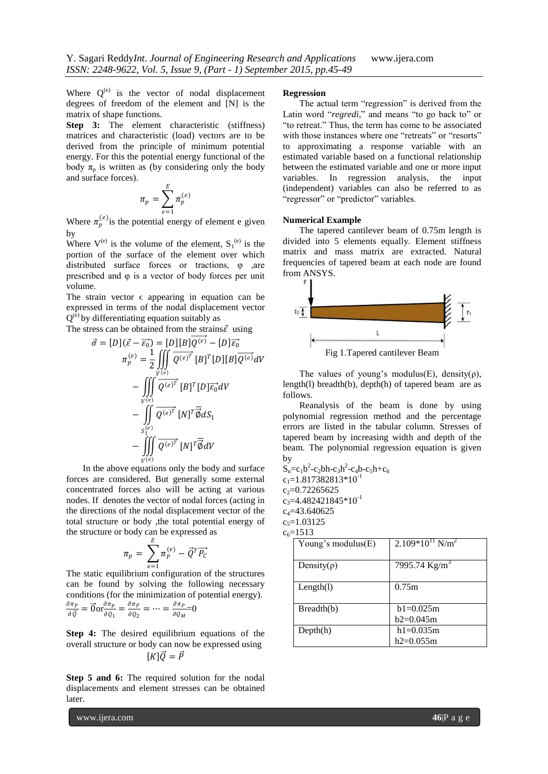Where  $Q^{(e)}$  is the vector of nodal displacement degrees of freedom of the element and [N] is the matrix of shape functions.

**Step 3:** The element characteristic (stiffness) matrices and characteristic (load) vectors are to be derived from the principle of minimum potential energy. For this the potential energy functional of the body  $\pi_p$  is written as (by considering only the body and surface forces).

$$
\pi_p = \sum_{e=1}^E \pi_p^{(e)}
$$

Where  $\pi_p^{(e)}$  is the potential energy of element e given by

Where  $V^{(e)}$  is the volume of the element,  $S_1^{(e)}$  is the portion of the surface of the element over which distributed surface forces or tractions, φ ,are prescribed and φ is a vector of body forces per unit volume.

The strain vector  $\epsilon$  appearing in equation can be expressed in terms of the nodal displacement vector  $Q^{(e)}$  by differentiating equation suitably as

The stress can be obtained from the strains  $\vec{\varepsilon}$  using

$$
\vec{\sigma} = [D](\vec{\varepsilon} - \vec{\varepsilon_0}) = [D][B]\overline{Q^{(e)}} - [D]\overline{\varepsilon_0}
$$
\n
$$
\pi_p^{(e)} = \frac{1}{2} \iiint\limits_{V^{(e)}} \overline{Q^{(e)}^T} [B]^T [D][B]\overline{Q^{(e)}} dV
$$
\n
$$
- \iiint\limits_{V^{(e)}} \overline{Q^{(e)}^T} [B]^T [D]\overline{\varepsilon_0} dV
$$
\n
$$
- \iint\limits_{S_1^{(e)}} \overline{Q^{(e)}^T} [N]^T \overline{\vec{\phi}} dS_1
$$
\n
$$
- \iiint\limits_{V^{(e)}} \overline{Q^{(e)}^T} [N]^T \overline{\vec{\phi}} dV
$$

In the above equations only the body and surface forces are considered. But generally some external concentrated forces also will be acting at various nodes. If denotes the vector of nodal forces (acting in the directions of the nodal displacement vector of the total structure or body ,the total potential energy of the structure or body can be expressed as

$$
\pi_p = \sum_{e=1}^E \pi_p^{(e)} - \vec{Q}^T \overline{P_C}
$$

 $e=1$ <br>The static equilibrium configuration of the structures can be found by solving the following necessary conditions (for the minimization of potential energy).

$$
\frac{\partial \pi_P}{\partial \vec{Q}} = \vec{0} \text{or} \frac{\partial \pi_P}{\partial Q_1} = \frac{\partial \pi_P}{\partial Q_2} = \dots = \frac{\partial \pi_P}{\partial Q_M} = 0
$$

**Step 4:** The desired equilibrium equations of the overall structure or body can now be expressed using  $[K]\vec{O}=\vec{P}$ 

**Step 5 and 6:** The required solution for the nodal displacements and element stresses can be obtained later.

#### **Regression**

The actual term "regression" is derived from the Latin word "regredi," and means "to go back to" or "to retreat." Thus, the term has come to be associated with those instances where one "retreats" or "resorts" to approximating a response variable with an estimated variable based on a functional relationship between the estimated variable and one or more input variables. In regression analysis, the input (independent) variables can also be referred to as "regressor" or "predictor" variables.

#### **Numerical Example**

The tapered cantilever beam of 0.75m length is divided into 5 elements equally. Element stiffness matrix and mass matrix are extracted. Natural frequencies of tapered beam at each node are found from ANSYS.



The values of young's modulus(E), density( $\rho$ ), length(l) breadth(b), depth(h) of tapered beam are as follows.

Reanalysis of the beam is done by using polynomial regression method and the percentage errors are listed in the tabular column. Stresses of tapered beam by increasing width and depth of the beam. The polynomial regression equation is given by

 $S_n = c_1 b^2 - c_2 bh - c_3 h^2 - c_4 b - c_5 h + c_6$  $c_1=1.817382813*10^{-1}$  $c_2$ =0.72265625  $c_3 = 4.482421845*10^{-1}$  $c_4 = 43.640625$  $c_5=1.03125$ 

| Young's modulus $(E)$ | $2.109*10^{11}$ N/m <sup>2</sup> |
|-----------------------|----------------------------------|
| Density( $\rho$ )     | 7995.74 $Kg/m^3$                 |
| Length(1)             | 0.75m                            |
| Breadth(b)            | $h1=0.025m$                      |
|                       | b2=0.045m                        |
| Depth(h)              | $h1=0.035m$                      |
|                       | h2=0.055m                        |

www.ijera.com **46**|P a g e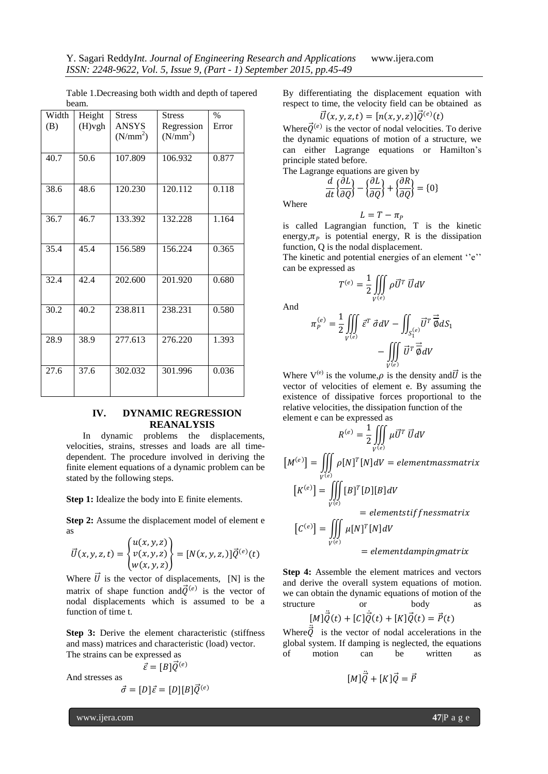Table 1.Decreasing both width and depth of tapered beam.

| Width | Height    | <b>Stress</b> | <b>Stress</b>        | $\frac{0}{0}$ |
|-------|-----------|---------------|----------------------|---------------|
| (B)   | $(H)$ vgh | <b>ANSYS</b>  | Regression           | Error         |
|       |           | $(N/mm^2)$    | (N/mm <sup>2</sup> ) |               |
|       |           |               |                      |               |
| 40.7  | 50.6      | 107.809       | 106.932              | 0.877         |
|       |           |               |                      |               |
|       |           |               |                      |               |
| 38.6  | 48.6      | 120.230       | 120.112              | 0.118         |
|       |           |               |                      |               |
|       |           |               |                      |               |
| 36.7  | 46.7      | 133.392       | 132.228              | 1.164         |
|       |           |               |                      |               |
|       |           |               |                      |               |
| 35.4  | 45.4      | 156.589       | 156.224              | 0.365         |
|       |           |               |                      |               |
|       |           |               |                      |               |
| 32.4  | 42.4      | 202.600       | 201.920              | 0.680         |
|       |           |               |                      |               |
| 30.2  | 40.2      | 238.811       | 238.231              | 0.580         |
|       |           |               |                      |               |
|       |           |               |                      |               |
| 28.9  | 38.9      | 277.613       | 276.220              | 1.393         |
|       |           |               |                      |               |
|       |           |               |                      |               |
| 27.6  | 37.6      | 302.032       | 301.996              | 0.036         |
|       |           |               |                      |               |
|       |           |               |                      |               |

## **IV. DYNAMIC REGRESSION REANALYSIS**

In dynamic problems the displacements, velocities, strains, stresses and loads are all timedependent. The procedure involved in deriving the finite element equations of a dynamic problem can be stated by the following steps.

**Step 1:** Idealize the body into E finite elements.

**Step 2:** Assume the displacement model of element e as

$$
\vec{U}(x,y,z,t) = \begin{cases} u(x,y,z) \\ v(x,y,z) \\ w(x,y,z) \end{cases} = [N(x,y,z),\vec{Q}^{(e)}(t)]
$$

Where  $\vec{U}$  is the vector of displacements, [N] is the matrix of shape function and  $\vec{Q}^{(e)}$  is the vector of nodal displacements which is assumed to be a function of time t.

**Step 3:** Derive the element characteristic (stiffness) and mass) matrices and characteristic (load) vector. The strains can be expressed as

$$
\vec{\varepsilon} = [B]\vec{Q}^{(e)}
$$

And stresses as

$$
\vec{\sigma} = [D]\vec{\varepsilon} = [D][B]\vec{Q}^{(e)}
$$

By differentiating the displacement equation with respect to time, the velocity field can be obtained as  $(e)$ 

$$
\vec{U}(x,y,z,t)=[n(x,y,z)]\vec{Q}^{(e)}(t)
$$

Where  $\vec{Q}^{(e)}$  is the vector of nodal velocities. To derive the dynamic equations of motion of a structure, we can either Lagrange equations or Hamilton"s principle stated before.

The Lagrange equations are given by

$$
\frac{d}{dt}\left\{\frac{\partial L}{\partial Q}\right\} - \left\{\frac{\partial L}{\partial Q}\right\} + \left\{\frac{\partial R}{\partial Q}\right\} = \{0\}
$$

Where

And

$$
L=T-\pi_P
$$

is called Lagrangian function, T is the kinetic energy,  $\pi_p$  is potential energy, R is the dissipation function, Q is the nodal displacement.

The kinetic and potential energies of an element  $e''$ . can be expressed as

$$
T^{(e)} = \frac{1}{2} \iiint\limits_{V^{(e)}} \rho \vec{U}^T \, \vec{U} dV
$$

$$
\pi_P^{(e)} = \frac{1}{2} \iiint\limits_{V^{(e)}} \vec{\varepsilon}^T \, \vec{\sigma} dV - \iint_{S_1^{(e)}} \vec{U}^T \, \vec{\overline{\phi}} dS_1
$$

$$
- \iiint\limits_{V^{(e)}} \vec{U}^T \, \vec{\overline{\phi}} dV
$$

Where  $V^{(e)}$  is the volume,  $\rho$  is the density and  $\vec{U}$  is the vector of velocities of element e. By assuming the existence of dissipative forces proportional to the relative velocities, the dissipation function of the element e can be expressed as

$$
R^{(e)} = \frac{1}{2} \iiint_{V^{(e)}} \mu \vec{U}^T \vec{U} dV
$$
  
\n
$$
[M^{(e)}] = \iiint_{V^{(e)}} \rho [N]^T [N] dV = element mass matrix
$$
  
\n
$$
[K^{(e)}] = \iiint_{V^{(e)}} [B]^T [D][B] dV
$$
  
\n
$$
= elementstif fness matrix
$$
  
\n
$$
[C^{(e)}] = \iiint_{V^{(e)}} \mu [N]^T [N] dV
$$
  
\n
$$
= element damping matrix
$$

**Step 4:** Assemble the element matrices and vectors and derive the overall system equations of motion. we can obtain the dynamic equations of motion of the structure or body as  $[M]\ddot{\vec{Q}}(t) + [C]\dot{\vec{Q}}(t) + [K]\vec{Q}(t) = \vec{P}(t)$ ,<br>|

Where  $\vec{Q}$  is the vector of nodal accelerations in the global system. If damping is neglected, the equations of motion can be written as

$$
[M]\ddot{\vec{Q}} + [K]\vec{Q} = \vec{P}
$$

www.ijera.com **47**|P a g e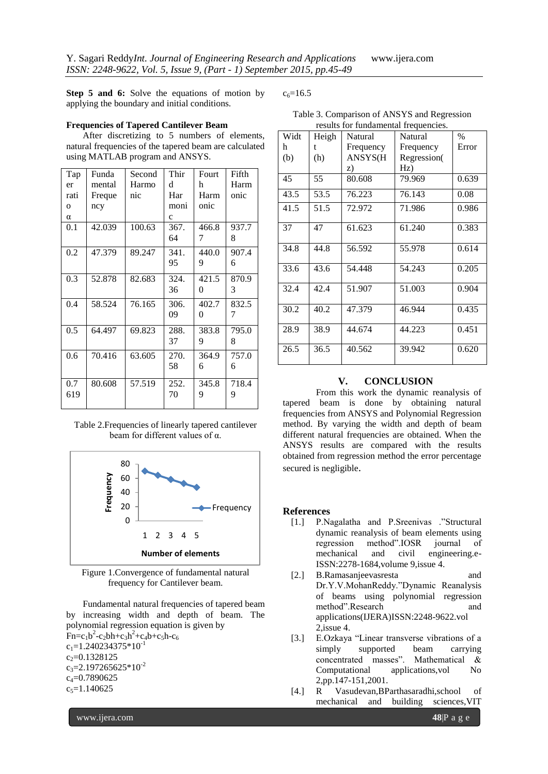**Step 5 and 6:** Solve the equations of motion by applying the boundary and initial conditions.

## **Frequencies of Tapered Cantilever Beam**

After discretizing to 5 numbers of elements, natural frequencies of the tapered beam are calculated using MATLAB program and ANSYS.

| Tap          | Funda  | Second | Thir         | Fourt    | Fifth |
|--------------|--------|--------|--------------|----------|-------|
| er           | mental | Harmo  | d            | h        | Harm  |
| rati         | Freque | nic    | Har          | Harm     | onic  |
| $\mathbf{O}$ | ncy    |        | moni         | onic     |       |
| $\alpha$     |        |        | $\mathbf{C}$ |          |       |
| 0.1          | 42.039 | 100.63 | 367.         | 466.8    | 937.7 |
|              |        |        | 64           | 7        | 8     |
| 0.2          | 47.379 | 89.247 | 341.         | 440.0    | 907.4 |
|              |        |        | 95           | 9        | 6     |
| 0.3          | 52.878 | 82.683 | 324.         | 421.5    | 870.9 |
|              |        |        | 36           | $\theta$ | 3     |
| 0.4          | 58.524 | 76.165 | 306.         | 402.7    | 832.5 |
|              |        |        | 09           | $\theta$ | 7     |
| 0.5          | 64.497 | 69.823 | 288.         | 383.8    | 795.0 |
|              |        |        | 37           | 9        | 8     |
| 0.6          | 70.416 | 63.605 | 270.         | 364.9    | 757.0 |
|              |        |        | 58           | 6        | 6     |
| 0.7          | 80.608 | 57.519 | 252.         | 345.8    | 718.4 |
| 619          |        |        | 70           | 9        | 9     |
|              |        |        |              |          |       |

Table 2.Frequencies of linearly tapered cantilever beam for different values of α.



Figure 1.Convergence of fundamental natural frequency for Cantilever beam.

Fundamental natural frequencies of tapered beam by increasing width and depth of beam. The polynomial regression equation is given by  $Fn = c_1b^2 - c_2bh + c_3h^2 + c_4b + c_5h - c_6$  $c_1=1.240234375*10^{-1}$  $c_2=0.1328125$  $c_3 = 2.197265625*10^{-2}$  $c_4 = 0.7890625$  $c_5=1.140625$ 

 $c_6 = 16.5$ 

| Table 3. Comparison of ANSYS and Regression |  |
|---------------------------------------------|--|
| results for fundamental frequencies.        |  |

| Widt | Heigh | Natural   | Natural     | $\frac{0}{0}$ |
|------|-------|-----------|-------------|---------------|
| h    | t     | Frequency | Frequency   | Error         |
| (b)  | (h)   | ANSYS(H   | Regression( |               |
|      |       | Z)        | Hz)         |               |
| 45   | 55    | 80.608    | 79.969      | 0.639         |
| 43.5 | 53.5  | 76.223    | 76.143      | 0.08          |
| 41.5 | 51.5  | 72.972    | 71.986      | 0.986         |
| 37   | 47    | 61.623    | 61.240      | 0.383         |
| 34.8 | 44.8  | 56.592    | 55.978      | 0.614         |
| 33.6 | 43.6  | 54.448    | 54.243      | 0.205         |
| 32.4 | 42.4  | 51.907    | 51.003      | 0.904         |
| 30.2 | 40.2  | 47.379    | 46.944      | 0.435         |
| 28.9 | 38.9  | 44.674    | 44.223      | 0.451         |
| 26.5 | 36.5  | 40.562    | 39.942      | 0.620         |

# **V. CONCLUSION**

From this work the dynamic reanalysis of tapered beam is done by obtaining natural frequencies from ANSYS and Polynomial Regression method. By varying the width and depth of beam different natural frequencies are obtained. When the ANSYS results are compared with the results obtained from regression method the error percentage secured is negligible.

## **References**

- [1.] P.Nagalatha and P.Sreenivas ."Structural dynamic reanalysis of beam elements using regression method".IOSR journal of mechanical and civil engineering.e-ISSN:2278-1684,volume 9,issue 4.
- [2.] B.Ramasanjeevasresta and Dr.Y.V.MohanReddy."Dynamic Reanalysis of beams using polynomial regression method".Research and applications(IJERA)ISSN:2248-9622.vol 2,issue 4.
- [3.] E.Ozkaya "Linear transverse vibrations of a simply supported beam carrying concentrated masses". Mathematical & Computational applications,vol No 2,pp.147-151,2001.
- [4.] R Vasudevan,BParthasaradhi,school of mechanical and building sciences,VIT